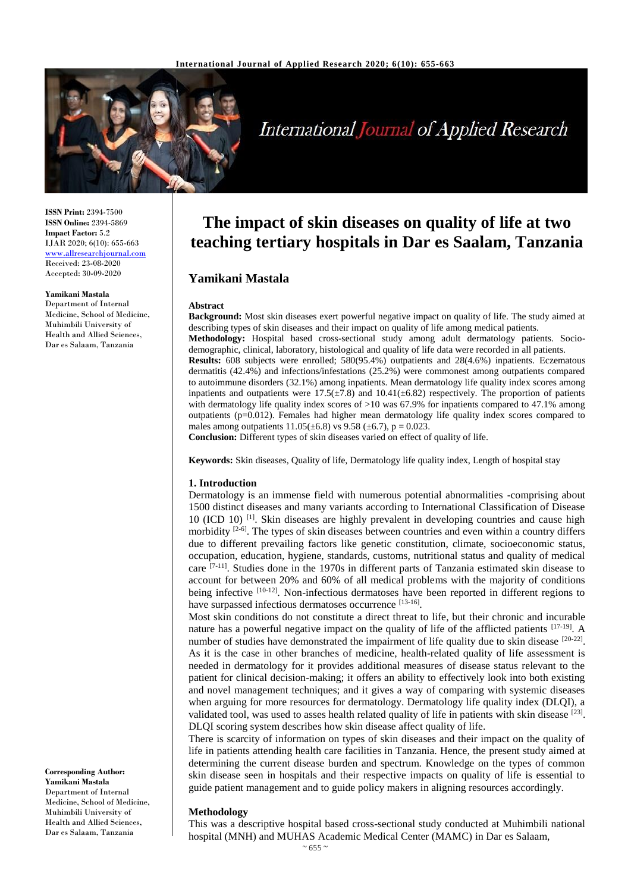

# **International Journal of Applied Research**

**ISSN Print:** 2394-7500 **ISSN Online:** 2394-5869 **Impact Factor:** 5.2 IJAR 2020; 6(10): 655-663 <www.allresearchjournal.com> Received: 23-08-2020 Accepted: 30-09-2020

# **Yamikani Mastala**

Department of Internal Medicine, School of Medicine, Muhimbili University of Health and Allied Sciences, Dar es Salaam, Tanzania

**Corresponding Author: Yamikani Mastala** Department of Internal Medicine, School of Medicine, Muhimbili University of Health and Allied Sciences, Dar es Salaam, Tanzania

# **The impact of skin diseases on quality of life at two teaching tertiary hospitals in Dar es Saalam, Tanzania**

# **Yamikani Mastala**

#### **Abstract**

**Background:** Most skin diseases exert powerful negative impact on quality of life. The study aimed at describing types of skin diseases and their impact on quality of life among medical patients. **Methodology:** Hospital based cross-sectional study among adult dermatology patients. Sociodemographic, clinical, laboratory, histological and quality of life data were recorded in all patients. **Results:** 608 subjects were enrolled; 580(95.4%) outpatients and 28(4.6%) inpatients. Eczematous dermatitis (42.4%) and infections/infestations (25.2%) were commonest among outpatients compared to autoimmune disorders (32.1%) among inpatients. Mean dermatology life quality index scores among inpatients and outpatients were  $17.5(\pm 7.8)$  and  $10.41(\pm 6.82)$  respectively. The proportion of patients with dermatology life quality index scores of  $>10$  was 67.9% for inpatients compared to 47.1% among outpatients (p=0.012). Females had higher mean dermatology life quality index scores compared to males among outpatients  $11.05(\pm 6.8)$  vs  $9.58 (\pm 6.7)$ ,  $p = 0.023$ .

**Conclusion:** Different types of skin diseases varied on effect of quality of life.

**Keywords:** Skin diseases, Quality of life, Dermatology life quality index, Length of hospital stay

#### **1. Introduction**

Dermatology is an immense field with numerous potential abnormalities -comprising about 1500 distinct diseases and many variants according to International Classification of Disease 10 (ICD 10)<sup>[1]</sup>. Skin diseases are highly prevalent in developing countries and cause high morbidity <sup>[2-6]</sup>. The types of skin diseases between countries and even within a country differs due to different prevailing factors like genetic constitution, climate, socioeconomic status, occupation, education, hygiene, standards, customs, nutritional status and quality of medical care <sup>[7-11]</sup>. Studies done in the 1970s in different parts of Tanzania estimated skin disease to account for between 20% and 60% of all medical problems with the majority of conditions being infective [10-12]. Non-infectious dermatoses have been reported in different regions to have surpassed infectious dermatoses occurrence [13-16].

Most skin conditions do not constitute a direct threat to life, but their chronic and incurable nature has a powerful negative impact on the quality of life of the afflicted patients [17-19]. A number of studies have demonstrated the impairment of life quality due to skin disease  $[20-22]$ . As it is the case in other branches of medicine, health-related quality of life assessment is needed in dermatology for it provides additional measures of disease status relevant to the patient for clinical decision-making; it offers an ability to effectively look into both existing and novel management techniques; and it gives a way of comparing with systemic diseases when arguing for more resources for dermatology. Dermatology life quality index (DLQI), a validated tool, was used to asses health related quality of life in patients with skin disease  $[23]$ . DLQI scoring system describes how skin disease affect quality of life.

There is scarcity of information on types of skin diseases and their impact on the quality of life in patients attending health care facilities in Tanzania. Hence, the present study aimed at determining the current disease burden and spectrum. Knowledge on the types of common skin disease seen in hospitals and their respective impacts on quality of life is essential to guide patient management and to guide policy makers in aligning resources accordingly.

#### **Methodology**

This was a descriptive hospital based cross-sectional study conducted at Muhimbili national hospital (MNH) and MUHAS Academic Medical Center (MAMC) in Dar es Salaam,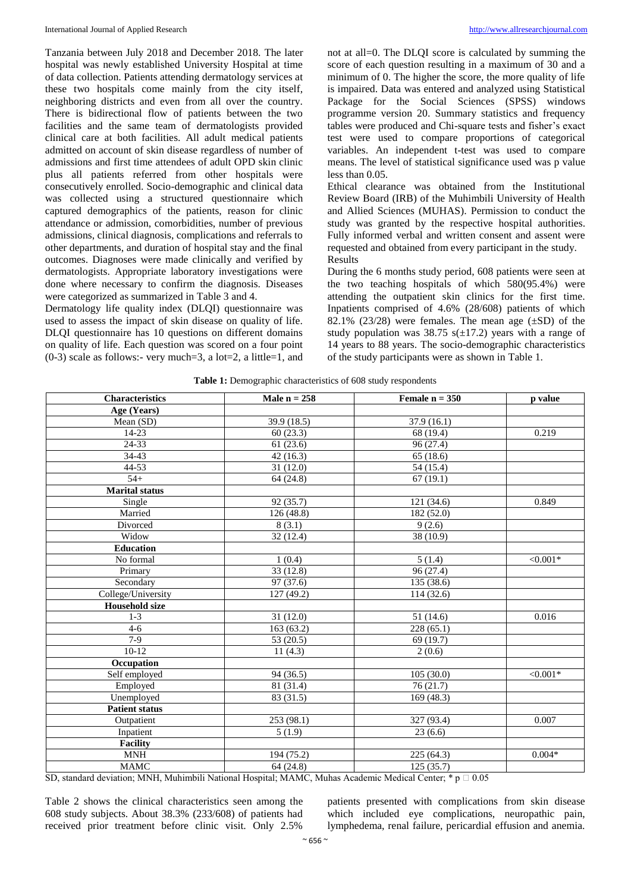Tanzania between July 2018 and December 2018. The later hospital was newly established University Hospital at time of data collection. Patients attending dermatology services at these two hospitals come mainly from the city itself, neighboring districts and even from all over the country. There is bidirectional flow of patients between the two facilities and the same team of dermatologists provided clinical care at both facilities. All adult medical patients admitted on account of skin disease regardless of number of admissions and first time attendees of adult OPD skin clinic plus all patients referred from other hospitals were consecutively enrolled. Socio-demographic and clinical data was collected using a structured questionnaire which captured demographics of the patients, reason for clinic attendance or admission, comorbidities, number of previous admissions, clinical diagnosis, complications and referrals to other departments, and duration of hospital stay and the final outcomes. Diagnoses were made clinically and verified by dermatologists. Appropriate laboratory investigations were done where necessary to confirm the diagnosis. Diseases were categorized as summarized in Table 3 and 4.

Dermatology life quality index (DLQI) questionnaire was used to assess the impact of skin disease on quality of life. DLQI questionnaire has 10 questions on different domains on quality of life. Each question was scored on a four point  $(0-3)$  scale as follows:- very much=3, a lot=2, a little=1, and

not at all=0. The DLQI score is calculated by summing the score of each question resulting in a maximum of 30 and a minimum of 0. The higher the score, the more quality of life is impaired. Data was entered and analyzed using Statistical Package for the Social Sciences (SPSS) windows programme version 20. Summary statistics and frequency tables were produced and Chi-square tests and fisher's exact test were used to compare proportions of categorical variables. An independent t-test was used to compare means. The level of statistical significance used was p value less than 0.05.

Ethical clearance was obtained from the Institutional Review Board (IRB) of the Muhimbili University of Health and Allied Sciences (MUHAS). Permission to conduct the study was granted by the respective hospital authorities. Fully informed verbal and written consent and assent were requested and obtained from every participant in the study. Results

During the 6 months study period, 608 patients were seen at the two teaching hospitals of which 580(95.4%) were attending the outpatient skin clinics for the first time. Inpatients comprised of 4.6% (28/608) patients of which 82.1% (23/28) were females. The mean age  $(\pm SD)$  of the study population was  $38.75$  s( $\pm$ 17.2) years with a range of 14 years to 88 years. The socio-demographic characteristics of the study participants were as shown in Table 1.

|  |  |  |  | <b>Table 1:</b> Demographic characteristics of 608 study respondents |
|--|--|--|--|----------------------------------------------------------------------|
|--|--|--|--|----------------------------------------------------------------------|

| <b>Characteristics</b> | Male $n = 258$ | Female $n = 350$ | p value         |
|------------------------|----------------|------------------|-----------------|
| Age (Years)            |                |                  |                 |
| Mean (SD)              | 39.9 (18.5)    | 37.9(16.1)       |                 |
| $14 - 23$              | 60(23.3)       | 68 (19.4)        | 0.219           |
| 24-33                  | 61(23.6)       | 96 (27.4)        |                 |
| 34-43                  | 42(16.3)       | 65(18.6)         |                 |
| 44-53                  | 31(12.0)       | 54 (15.4)        |                 |
| $54+$                  | 64(24.8)       | 67(19.1)         |                 |
| <b>Marital</b> status  |                |                  |                 |
| Single                 | 92 (35.7)      | 121(34.6)        | 0.849           |
| Married                | 126(48.8)      | 182 (52.0)       |                 |
| Divorced               | 8(3.1)         | 9(2.6)           |                 |
| Widow                  | 32(12.4)       | 38 (10.9)        |                 |
| <b>Education</b>       |                |                  |                 |
| No formal              | 1(0.4)         | 5(1.4)           | $< 0.001*$      |
| Primary                | 33(12.8)       | 96 (27.4)        |                 |
| Secondary              | 97 (37.6)      | 135 (38.6)       |                 |
| College/University     | 127 (49.2)     | 114(32.6)        |                 |
| <b>Household</b> size  |                |                  |                 |
| $1-3$                  | 31(12.0)       | 51 (14.6)        | 0.016           |
| $4 - 6$                | 163(63.2)      | 228(65.1)        |                 |
| $7-9$                  | 53 (20.5)      | 69(19.7)         |                 |
| $10-12$                | 11(4.3)        | 2(0.6)           |                 |
| Occupation             |                |                  |                 |
| Self employed          | 94 (36.5)      | 105(30.0)        | $\sqrt{0.001*}$ |
| Employed               | 81 (31.4)      | 76(21.7)         |                 |
| Unemployed             | 83 (31.5)      | 169(48.3)        |                 |
| <b>Patient status</b>  |                |                  |                 |
| Outpatient             | 253 (98.1)     | 327 (93.4)       | 0.007           |
| Inpatient              | 5(1.9)         | 23(6.6)          |                 |
| Facility               |                |                  |                 |
| <b>MNH</b>             | 194 (75.2)     | 225(64.3)        | $0.004*$        |
| <b>MAMC</b>            | 64(24.8)       | 125(35.7)        |                 |

SD, standard deviation; MNH, Muhimbili National Hospital; MAMC, Muhas Academic Medical Center; \* p  $\Box$  0.05

Table 2 shows the clinical characteristics seen among the 608 study subjects. About 38.3% (233/608) of patients had received prior treatment before clinic visit. Only 2.5%

patients presented with complications from skin disease which included eye complications, neuropathic pain, lymphedema, renal failure, pericardial effusion and anemia.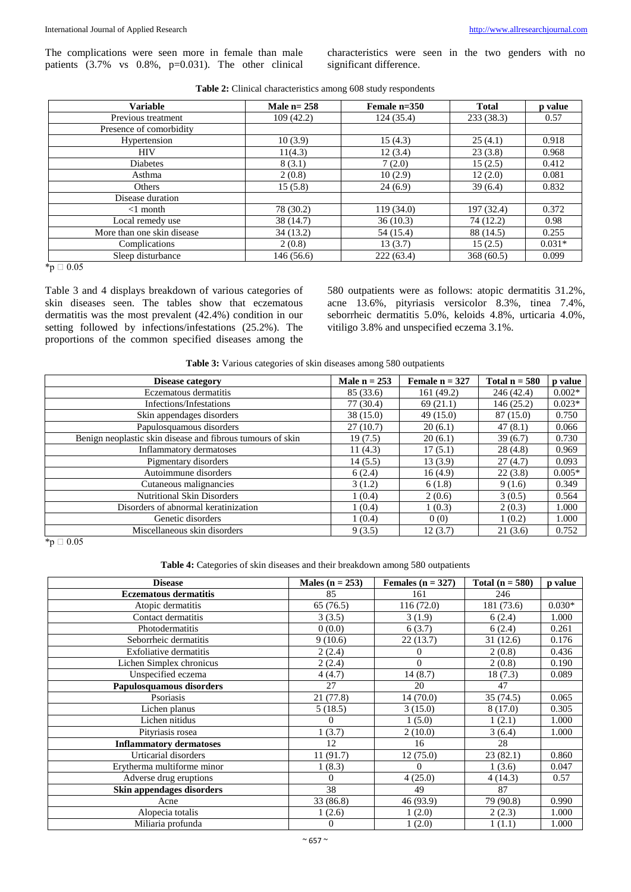The complications were seen more in female than male patients  $(3.7\%$  vs  $0.8\%$ , p=0.031). The other clinical characteristics were seen in the two genders with no significant difference.

| <b>Variable</b>            | Male $n=258$ | Female n=350 | <b>Total</b> | p value  |
|----------------------------|--------------|--------------|--------------|----------|
| Previous treatment         | 109(42.2)    | 124(35.4)    | 233(38.3)    | 0.57     |
| Presence of comorbidity    |              |              |              |          |
| Hypertension               | 10(3.9)      | 15(4.3)      | 25(4.1)      | 0.918    |
| <b>HIV</b>                 | 11(4.3)      | 12(3.4)      | 23(3.8)      | 0.968    |
| <b>Diabetes</b>            | 8(3.1)       | 7(2.0)       | 15(2.5)      | 0.412    |
| Asthma                     | 2(0.8)       | 10(2.9)      | 12(2.0)      | 0.081    |
| Others                     | 15(5.8)      | 24(6.9)      | 39(6.4)      | 0.832    |
| Disease duration           |              |              |              |          |
| $<1$ month                 | 78 (30.2)    | 119(34.0)    | 197 (32.4)   | 0.372    |
| Local remedy use           | 38 (14.7)    | 36(10.3)     | 74 (12.2)    | 0.98     |
| More than one skin disease | 34(13.2)     | 54 (15.4)    | 88 (14.5)    | 0.255    |
| Complications              | 2(0.8)       | 13 (3.7)     | 15(2.5)      | $0.031*$ |
| Sleep disturbance          | 146 (56.6)   | 222(63.4)    | 368(60.5)    | 0.099    |
| 50.05                      |              |              |              |          |

| <b>Table 2:</b> Clinical characteristics among 608 study respondents |  |
|----------------------------------------------------------------------|--|
|----------------------------------------------------------------------|--|

 $*_{p} \square 0.05$ 

Table 3 and 4 displays breakdown of various categories of skin diseases seen. The tables show that eczematous dermatitis was the most prevalent (42.4%) condition in our setting followed by infections/infestations (25.2%). The proportions of the common specified diseases among the 580 outpatients were as follows: atopic dermatitis 31.2%, acne 13.6%, pityriasis versicolor 8.3%, tinea 7.4%, seborrheic dermatitis 5.0%, keloids 4.8%, urticaria 4.0%, vitiligo 3.8% and unspecified eczema 3.1%.

**Table 3:** Various categories of skin diseases among 580 outpatients

| Disease category                                           | Male $n = 253$ | Female $n = 327$ | Total $n = 580$ | p value  |
|------------------------------------------------------------|----------------|------------------|-----------------|----------|
| Eczematous dermatitis                                      | 85 (33.6)      | 161 (49.2)       | 246 (42.4)      | $0.002*$ |
| Infections/Infestations                                    | 77(30.4)       | 69(21.1)         | 146(25.2)       | $0.023*$ |
| Skin appendages disorders                                  | 38 (15.0)      | 49(15.0)         | 87 (15.0)       | 0.750    |
| Papulosquamous disorders                                   | 27(10.7)       | 20(6.1)          | 47(8.1)         | 0.066    |
| Benign neoplastic skin disease and fibrous tumours of skin | 19(7.5)        | 20(6.1)          | 39(6.7)         | 0.730    |
| Inflammatory dermatoses                                    | 11 $(4.3)$     | 17(5.1)          | 28(4.8)         | 0.969    |
| Pigmentary disorders                                       | 14(5.5)        | 13(3.9)          | 27(4.7)         | 0.093    |
| Autoimmune disorders                                       | 6(2.4)         | 16(4.9)          | 22(3.8)         | $0.005*$ |
| Cutaneous malignancies                                     | 3(1.2)         | 6(1.8)           | 9(1.6)          | 0.349    |
| <b>Nutritional Skin Disorders</b>                          | 1(0.4)         | 2(0.6)           | 3(0.5)          | 0.564    |
| Disorders of abnormal keratinization                       | 1(0.4)         | 1(0.3)           | 2(0.3)          | 1.000    |
| Genetic disorders                                          | 1(0.4)         | 0(0)             | 1(0.2)          | 1.000    |
| Miscellaneous skin disorders                               | 9(3.5)         | 12(3.7)          | 21(3.6)         | 0.752    |

 $*_{p} \square 0.05$ 

Table 4: Categories of skin diseases and their breakdown among 580 outpatients

| <b>Disease</b>                 | Males ( $n = 253$ ) | Females ( $n = 327$ ) | Total $(n = 580)$ | p value  |
|--------------------------------|---------------------|-----------------------|-------------------|----------|
| <b>Eczematous dermatitis</b>   | 85                  | 161                   | 246               |          |
| Atopic dermatitis              | 65 (76.5)           | 116(72.0)             | 181 (73.6)        | $0.030*$ |
| Contact dermatitis             | 3(3.5)              | 3(1.9)                | 6(2.4)            | 1.000    |
| Photodermatitis                | 0(0.0)              | 6(3.7)                | 6(2.4)            | 0.261    |
| Seborrheic dermatitis          | 9(10.6)             | 22(13.7)              | 31(12.6)          | 0.176    |
| Exfoliative dermatitis         | 2(2.4)              | 0                     | 2(0.8)            | 0.436    |
| Lichen Simplex chronicus       | 2(2.4)              | $\overline{0}$        | 2(0.8)            | 0.190    |
| Unspecified eczema             | 4(4.7)              | 14(8.7)               | 18(7.3)           | 0.089    |
| Papulosquamous disorders       | 27                  | 20                    | 47                |          |
| Psoriasis                      | 21 (77.8)           | 14(70.0)              | 35 (74.5)         | 0.065    |
| Lichen planus                  | 5(18.5)             | 3(15.0)               | 8(17.0)           | 0.305    |
| Lichen nitidus                 | 0                   | 1(5.0)                | 1(2.1)            | 1.000    |
| Pityriasis rosea               | 1(3.7)              | 2(10.0)               | 3(6.4)            | 1.000    |
| <b>Inflammatory dermatoses</b> | 12                  | 16                    | 28                |          |
| Urticarial disorders           | 11(91.7)            | 12(75.0)              | 23 (82.1)         | 0.860    |
| Erytherma multiforme minor     | 1(8.3)              | $\Omega$              | 1(3.6)            | 0.047    |
| Adverse drug eruptions         | $\Omega$            | 4(25.0)               | 4(14.3)           | 0.57     |
| Skin appendages disorders      | 38                  | 49                    | 87                |          |
| Acne                           | 33 (86.8)           | 46 (93.9)             | 79 (90.8)         | 0.990    |
| Alopecia totalis               | 1(2.6)              | 1(2.0)                | 2(2.3)            | 1.000    |
| Miliaria profunda              | 0                   | 1(2.0)                | 1(1.1)            | 1.000    |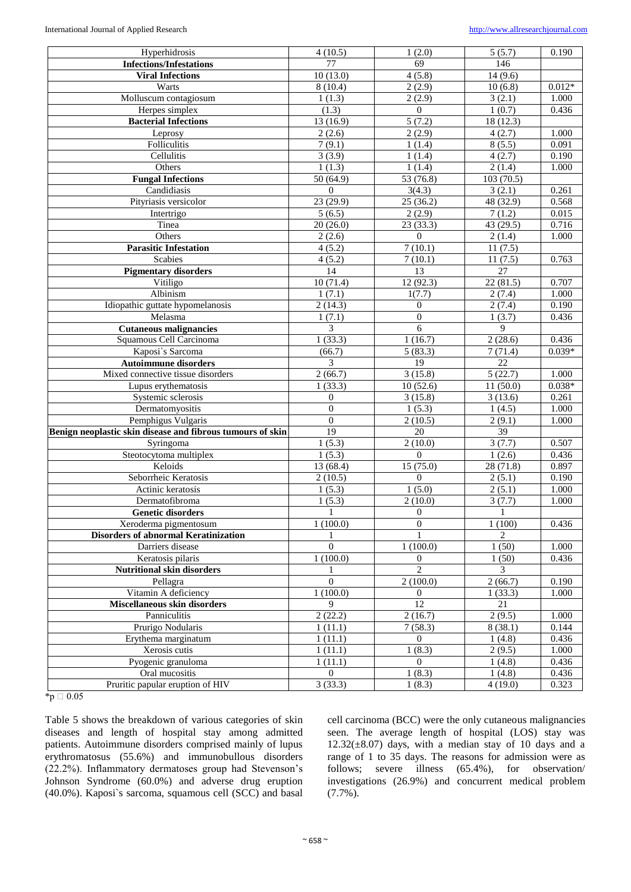| Hyperhidrosis                                              | 4(10.5)                 | 1(2.0)              | $\overline{5}$ (5.7)     | 0.190    |
|------------------------------------------------------------|-------------------------|---------------------|--------------------------|----------|
| <b>Infections/Infestations</b>                             | 77                      | 69                  | 146                      |          |
| <b>Viral Infections</b>                                    | 10(13.0)                | 4(5.8)              | 14(9.6)                  |          |
| Warts                                                      | 8(10.4)                 | 2(2.9)              | 10(6.8)                  | $0.012*$ |
| Molluscum contagiosum                                      | 1(1.3)                  | 2(2.9)              | 3(2.1)                   | 1.000    |
| Herpes simplex                                             | (1.3)                   | $\overline{0}$      | 1(0.7)                   | 0.436    |
| <b>Bacterial Infections</b>                                | 13(16.9)                | 5(7.2)              | 18(12.3)                 |          |
| Leprosy                                                    | 2(2.6)                  | 2(2.9)              | 4(2.7)                   | 1.000    |
| Folliculitis                                               | 7(9.1)                  | 1(1.4)              | 8(5.5)                   | 0.091    |
| Cellulitis                                                 | 3(3.9)                  | 1(1.4)              | 4(2.7)                   | 0.190    |
| Others                                                     | 1(1.3)                  | 1(1.4)              | 2(1.4)                   | 1.000    |
| <b>Fungal Infections</b>                                   | 50(64.9)                | 53(76.8)            | 103(70.5)                |          |
| Candidiasis                                                | $\theta$                | 3(4.3)              | 3(2.1)                   | 0.261    |
| Pityriasis versicolor                                      | 23(29.9)                | 25(36.2)            | 48 (32.9)                | 0.568    |
| Intertrigo                                                 | 5(6.5)                  | 2(2.9)              | 7(1.2)                   | 0.015    |
| Tinea                                                      | 20(26.0)                |                     | 43(29.5)                 | 0.716    |
|                                                            |                         | 23(33.3)            |                          |          |
| Others                                                     | 2(2.6)                  | $\overline{0}$      | 2(1.4)                   | 1.000    |
| <b>Parasitic Infestation</b>                               | 4(5.2)                  | 7(10.1)             | 11(7.5)                  |          |
| Scabies                                                    | 4(5.2)                  | 7(10.1)             | 11(7.5)                  | 0.763    |
| <b>Pigmentary disorders</b>                                | 14                      | $\overline{13}$     | 27                       |          |
| Vitiligo                                                   | 10(71.4)                | 12(92.3)            | 22(81.5)                 | 0.707    |
| Albinism                                                   | 1(7.1)                  | 1(7.7)              | 2(7.4)                   | 1.000    |
| Idiopathic guttate hypomelanosis                           | 2(14.3)                 | $\overline{0}$      | 2(7.4)                   | 0.190    |
| Melasma                                                    | 1(7.1)                  | $\boldsymbol{0}$    | 1(3.7)                   | 0.436    |
| <b>Cutaneous malignancies</b>                              | 3                       | 6                   | 9                        |          |
| Squamous Cell Carcinoma                                    | 1(33.3)                 | 1(16.7)             | 2(28.6)                  | 0.436    |
| Kaposi's Sarcoma                                           | (66.7)                  | 5(83.3)             | 7(71.4)                  | $0.039*$ |
| <b>Autoimmune disorders</b>                                | 3                       | $\overline{19}$     | $\overline{22}$          |          |
| Mixed connective tissue disorders                          | 2(66.7)                 | 3(15.8)             | 5(22.7)                  | 1.000    |
| Lupus erythematosis                                        | 1(33.3)                 | 10(52.6)            | 11(50.0)                 | $0.038*$ |
| Systemic sclerosis                                         | $\theta$                | 3(15.8)             | 3(13.6)                  | 0.261    |
| Dermatomyositis                                            | $\overline{0}$          | 1(5.3)              | 1(4.5)                   | 1.000    |
| Pemphigus Vulgaris                                         | $\mathbf{0}$            | 2(10.5)             | 2(9.1)                   | 1.000    |
| Benign neoplastic skin disease and fibrous tumours of skin | 19                      | 20                  | $\overline{39}$          |          |
| Syringoma                                                  | 1(5.3)                  | 2(10.0)             | 3(7.7)                   | 0.507    |
| Steotocytoma multiplex                                     | 1(5.3)                  | $\Omega$            | 1(2.6)                   | 0.436    |
| Keloids                                                    | 13(68.4)                | 15(75.0)            | 28(71.8)                 | 0.897    |
| Seborrheic Keratosis                                       | 2(10.5)                 | $\Omega$            | 2(5.1)                   | 0.190    |
| Actinic keratosis                                          | 1(5.3)                  | 1(5.0)              | 2(5.1)                   | 1.000    |
| Dermatofibroma                                             | 1(5.3)                  | 2(10.0)             | 3(7.7)                   | 1.000    |
| <b>Genetic disorders</b>                                   | $\mathbf{1}$            | $\boldsymbol{0}$    | $\mathbf{1}$             |          |
| Xeroderma pigmentosum                                      | 1(100.0)                | $\boldsymbol{0}$    | 1(100)                   | 0.436    |
| <b>Disorders of abnormal Keratinization</b>                |                         |                     | $\overline{\mathcal{L}}$ |          |
| Darriers disease                                           | $\Omega$                | 1(100.0)            | 1(50)                    | 1.000    |
| Keratosis pilaris                                          | 1(100.0)                |                     | 1(50)                    |          |
| <b>Nutritional skin disorders</b>                          |                         | 0<br>$\overline{c}$ | 3                        | 0.436    |
|                                                            | $\theta$                |                     |                          |          |
| Pellagra                                                   |                         | 2(100.0)            | 2(66.7)                  | 0.190    |
| Vitamin A deficiency                                       | 1(100.0)<br>$\mathbf Q$ | $\overline{0}$      | 1(33.3)                  | 1.000    |
| <b>Miscellaneous skin disorders</b>                        |                         | 12                  | 21                       |          |
| Panniculitis                                               | 2(22.2)                 | 2(16.7)             | 2(9.5)                   | 1.000    |
| Prurigo Nodularis                                          | 1(11.1)                 | 7(58.3)             | 8(38.1)                  | 0.144    |
| Erythema marginatum                                        | 1(11.1)                 | $\overline{0}$      | 1(4.8)                   | 0.436    |
| Xerosis cutis                                              | 1(11.1)                 | 1(8.3)              | 2(9.5)                   | 1.000    |
| Pyogenic granuloma                                         | 1(11.1)                 | $\Omega$            | 1(4.8)                   | 0.436    |
| Oral mucositis                                             | $\boldsymbol{0}$        | 1(8.3)              | 1(4.8)                   | 0.436    |
| Pruritic papular eruption of HIV                           | $\overline{3}$ (33.3)   | 1(8.3)              | 4(19.0)                  | 0.323    |

 $*_{p} \square 0.05$ 

Table 5 shows the breakdown of various categories of skin diseases and length of hospital stay among admitted patients. Autoimmune disorders comprised mainly of lupus erythromatosus (55.6%) and immunobullous disorders (22.2%). Inflammatory dermatoses group had Stevenson's Johnson Syndrome (60.0%) and adverse drug eruption (40.0%). Kaposi`s sarcoma, squamous cell (SCC) and basal cell carcinoma (BCC) were the only cutaneous malignancies seen. The average length of hospital (LOS) stay was  $12.32(\pm 8.07)$  days, with a median stay of 10 days and a range of 1 to 35 days. The reasons for admission were as follows; severe illness (65.4%), for observation/ investigations (26.9%) and concurrent medical problem (7.7%).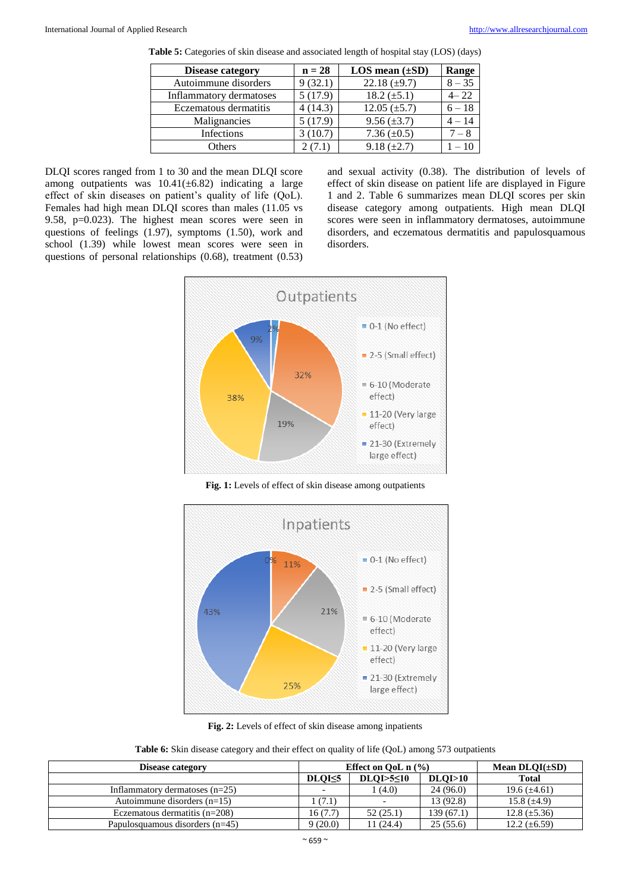| <b>Disease category</b> | $n = 28$ | $LOS$ mean $(\pm SD)$ | Range    |
|-------------------------|----------|-----------------------|----------|
| Autoimmune disorders    | 9(32.1)  | 22.18 $(\pm 9.7)$     | $8 - 35$ |
| Inflammatory dermatoses | 5(17.9)  | 18.2 $(\pm 5.1)$      | $4 - 22$ |
| Eczematous dermatitis   | 4(14.3)  | $12.05 \ (\pm 5.7)$   | $6 - 18$ |
| Malignancies            | 5(17.9)  | $9.56 \ (\pm 3.7)$    | $4 - 14$ |
| Infections              | 3(10.7)  | 7.36 $(\pm 0.5)$      | $7 - 8$  |
| Others                  | 2(7.1)   | $9.18 (\pm 2.7)$      | $-10$    |
|                         |          |                       |          |

|  | Table 5: Categories of skin disease and associated length of hospital stay (LOS) (days) |  |  |  |
|--|-----------------------------------------------------------------------------------------|--|--|--|
|  |                                                                                         |  |  |  |

DLQI scores ranged from 1 to 30 and the mean DLQI score among outpatients was  $10.41(\pm 6.82)$  indicating a large effect of skin diseases on patient's quality of life (QoL). Females had high mean DLQI scores than males (11.05 vs 9.58, p=0.023). The highest mean scores were seen in questions of feelings (1.97), symptoms (1.50), work and school (1.39) while lowest mean scores were seen in questions of personal relationships (0.68), treatment (0.53)

and sexual activity (0.38). The distribution of levels of effect of skin disease on patient life are displayed in Figure 1 and 2. Table 6 summarizes mean DLQI scores per skin disease category among outpatients. High mean DLQI scores were seen in inflammatory dermatoses, autoimmune disorders, and eczematous dermatitis and papulosquamous disorders.



**Fig. 1:** Levels of effect of skin disease among outpatients



**Fig. 2:** Levels of effect of skin disease among inpatients

**Table 6:** Skin disease category and their effect on quality of life (QoL) among 573 outpatients

| Disease category                  |                          | Effect on OoL $n$ (%) | Mean $DLOI(\pm SD)$ |                     |
|-----------------------------------|--------------------------|-----------------------|---------------------|---------------------|
|                                   | DLOI <sub>5</sub>        | $DLOI > 5 \leq 10$    | DLOI>10             | <b>Total</b>        |
| Inflammatory dermatoses $(n=25)$  | $\overline{\phantom{a}}$ | (4.0)                 | 24(96.0)            | 19.6 $(\pm 4.61)$   |
| Autoimmune disorders $(n=15)$     | (7.1)                    |                       | 13 (92.8)           | 15.8 $(\pm 4.9)$    |
| Eczematous dermatitis $(n=208)$   | 16 (7.7)                 | 52(25.1)              | 139(67.1)           | $12.8 \ (\pm 5.36)$ |
| Papulosquamous disorders $(n=45)$ | 9(20.0)                  | 11(24.4)              | 25(55.6)            | 12.2 $(\pm 6.59)$   |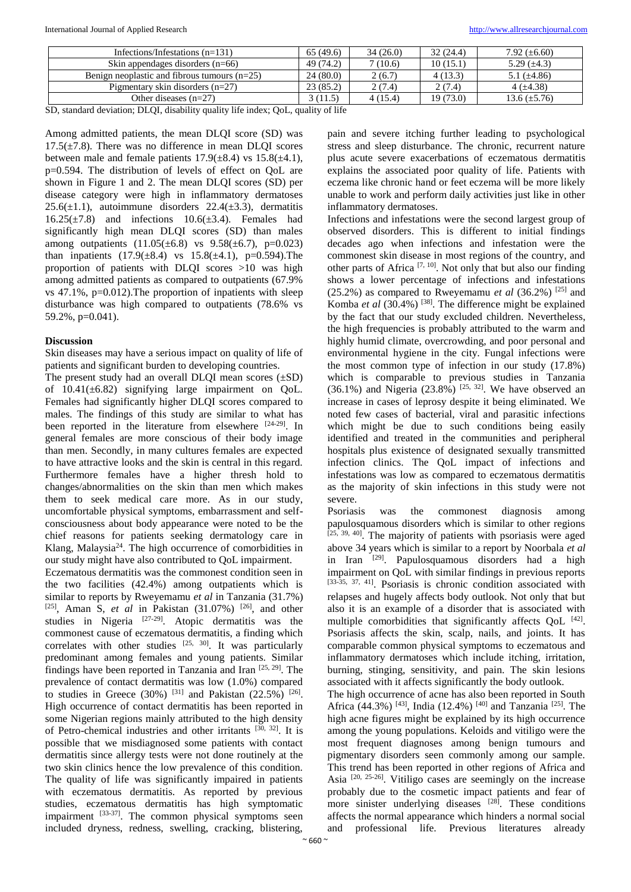| Infections/Infestations $(n=131)$                                                                                               | 65(49.6)          | 34(26.0) | 32(24.4)  | 7.92 $(\pm 6.60)$ |
|---------------------------------------------------------------------------------------------------------------------------------|-------------------|----------|-----------|-------------------|
| Skin appendages disorders $(n=66)$                                                                                              | 49 (74.2)         | 7(10.6)  | 10(15.1)  | 5.29 $(\pm 4.3)$  |
| Benign neoplastic and fibrous tumours $(n=25)$                                                                                  | 24(80.0)          | 2(6.7)   | 4 (13.3)  | 5.1 $(\pm 4.86)$  |
| Pigmentary skin disorders $(n=27)$                                                                                              | 23(85.2)          | 2(7.4)   | 2(7.4)    | 4 $(\pm 4.38)$    |
| Other diseases $(n=27)$                                                                                                         | 3 (11.5)          | 4(15.4)  | 19 (73.0) | 13.6 $(\pm 5.76)$ |
| $\mathbf{1}$ , $\mathbf{1}$ , $\mathbf{0}$ , $\mathbf{1}$ , $\mathbf{1}$<br>$\sim$ $\sim$ $\sim$ $\sim$ $\sim$<br>$\sim$ $\sim$ | $\cdots$ $\cdots$ |          |           |                   |

SD, standard deviation; DLQI, disability quality life index; QoL, quality of life

Among admitted patients, the mean DLQI score (SD) was  $17.5(\pm 7.8)$ . There was no difference in mean DLOI scores between male and female patients  $17.9(\pm 8.4)$  vs  $15.8(\pm 4.1)$ , p=0.594. The distribution of levels of effect on QoL are shown in Figure 1 and 2. The mean DLQI scores (SD) per disease category were high in inflammatory dermatoses 25.6( $\pm$ 1.1), autoimmune disorders 22.4( $\pm$ 3.3), dermatitis  $16.25(\pm 7.8)$  and infections  $10.6(\pm 3.4)$ . Females had significantly high mean DLQI scores (SD) than males among outpatients  $(11.05(\pm 6.8)$  vs  $9.58(\pm 6.7)$ , p=0.023) than inpatients  $(17.9(\pm 8.4)$  vs  $15.8(\pm 4.1)$ , p=0.594). The proportion of patients with DLQI scores >10 was high among admitted patients as compared to outpatients (67.9% vs 47.1%, p=0.012).The proportion of inpatients with sleep disturbance was high compared to outpatients (78.6% vs 59.2%, p=0.041).

## **Discussion**

Skin diseases may have a serious impact on quality of life of patients and significant burden to developing countries.

The present study had an overall DLQI mean scores  $(\pm SD)$ of  $10.41(\pm 6.82)$  signifying large impairment on OoL. Females had significantly higher DLQI scores compared to males. The findings of this study are similar to what has been reported in the literature from elsewhere [24-29]. In general females are more conscious of their body image than men. Secondly, in many cultures females are expected to have attractive looks and the skin is central in this regard. Furthermore females have a higher thresh hold to changes/abnormalities on the skin than men which makes them to seek medical care more. As in our study, uncomfortable physical symptoms, embarrassment and selfconsciousness about body appearance were noted to be the chief reasons for patients seeking dermatology care in Klang, Malaysia<sup>24</sup>. The high occurrence of comorbidities in our study might have also contributed to QoL impairment.

Eczematous dermatitis was the commonest condition seen in the two facilities (42.4%) among outpatients which is similar to reports by Rweyemamu *et al* in Tanzania (31.7%) [25], Aman S, *et al* in Pakistan  $(31.07%)$  <sup>[26]</sup>, and other studies in Nigeria  $[27-29]$ . Atopic dermatitis was the commonest cause of eczematous dermatitis, a finding which correlates with other studies  $[25, 30]$ . It was particularly predominant among females and young patients. Similar findings have been reported in Tanzania and Iran [25, 29]. The prevalence of contact dermatitis was low (1.0%) compared to studies in Greece (30%) <sup>[31]</sup> and Pakistan (22.5%) <sup>[26]</sup>. High occurrence of contact dermatitis has been reported in some Nigerian regions mainly attributed to the high density of Petro-chemical industries and other irritants [30, 32]. It is possible that we misdiagnosed some patients with contact dermatitis since allergy tests were not done routinely at the two skin clinics hence the low prevalence of this condition. The quality of life was significantly impaired in patients with eczematous dermatitis. As reported by previous studies, eczematous dermatitis has high symptomatic impairment  $^{[33-37]}$ . The common physical symptoms seen included dryness, redness, swelling, cracking, blistering,

pain and severe itching further leading to psychological stress and sleep disturbance. The chronic, recurrent nature plus acute severe exacerbations of eczematous dermatitis explains the associated poor quality of life. Patients with eczema like chronic hand or feet eczema will be more likely unable to work and perform daily activities just like in other inflammatory dermatoses.

Infections and infestations were the second largest group of observed disorders. This is different to initial findings decades ago when infections and infestation were the commonest skin disease in most regions of the country, and other parts of Africa<sup>[7, 10]</sup>. Not only that but also our finding shows a lower percentage of infections and infestations  $(25.2%)$  as compared to Rweyemamu *et al*  $(36.2%)$ <sup>[25]</sup> and Komba et al (30.4%)<sup>[38]</sup>. The difference might be explained by the fact that our study excluded children. Nevertheless, the high frequencies is probably attributed to the warm and highly humid climate, overcrowding, and poor personal and environmental hygiene in the city. Fungal infections were the most common type of infection in our study (17.8%) which is comparable to previous studies in Tanzania  $(36.1\%)$  and Nigeria  $(23.8\%)$  <sup>[25, 32]</sup>. We have observed an increase in cases of leprosy despite it being eliminated. We noted few cases of bacterial, viral and parasitic infections which might be due to such conditions being easily identified and treated in the communities and peripheral hospitals plus existence of designated sexually transmitted infection clinics. The QoL impact of infections and infestations was low as compared to eczematous dermatitis as the majority of skin infections in this study were not severe.

Psoriasis was the commonest diagnosis among papulosquamous disorders which is similar to other regions [25, 39, 40]. The majority of patients with psoriasis were aged above 34 years which is similar to a report by Noorbala *et al* in Iran [29] . Papulosquamous disorders had a high impairment on QoL with similar findings in previous reports [33-35, 37, 41]. Psoriasis is chronic condition associated with relapses and hugely affects body outlook. Not only that but also it is an example of a disorder that is associated with multiple comorbidities that significantly affects  $QoL$ <sup>[42]</sup>. Psoriasis affects the skin, scalp, nails, and joints. It has comparable common physical symptoms to eczematous and inflammatory dermatoses which include itching, irritation, burning, stinging, sensitivity, and pain. The skin lesions associated with it affects significantly the body outlook.

The high occurrence of acne has also been reported in South Africa (44.3%)<sup>[43]</sup>, India (12.4%)<sup>[40]</sup> and Tanzania<sup>[25]</sup>. The high acne figures might be explained by its high occurrence among the young populations. Keloids and vitiligo were the most frequent diagnoses among benign tumours and pigmentary disorders seen commonly among our sample. This trend has been reported in other regions of Africa and Asia  $[20, 25-26]$ . Vitiligo cases are seemingly on the increase probably due to the cosmetic impact patients and fear of more sinister underlying diseases [28]. These conditions affects the normal appearance which hinders a normal social and professional life. Previous literatures already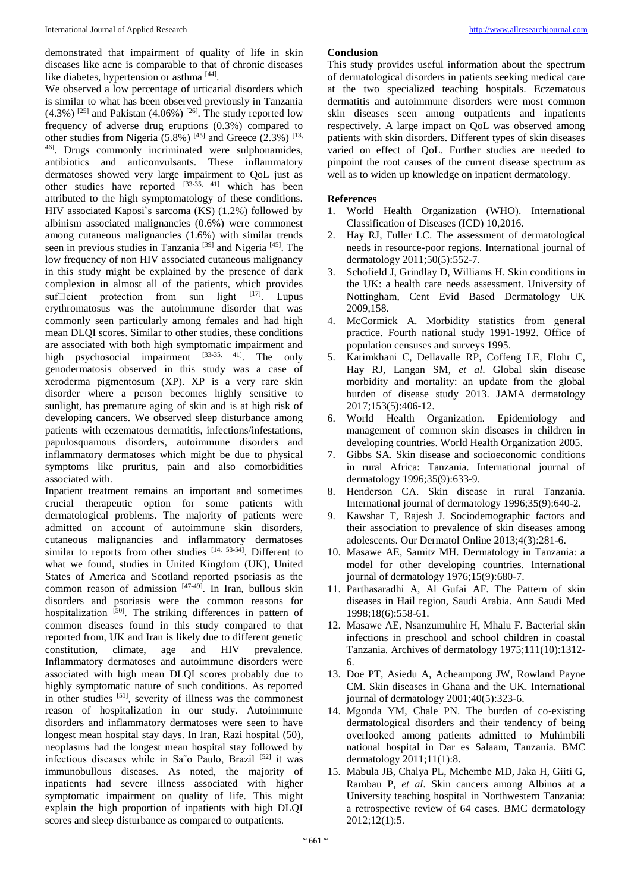demonstrated that impairment of quality of life in skin diseases like acne is comparable to that of chronic diseases like diabetes, hypertension or asthma [44].

We observed a low percentage of urticarial disorders which is similar to what has been observed previously in Tanzania  $(4.3\%)$ <sup>[25]</sup> and Pakistan (4.06%)<sup>[26]</sup>. The study reported low frequency of adverse drug eruptions (0.3%) compared to other studies from Nigeria (5.8%)  $^{[45]}$  and Greece (2.3%)  $^{[13]}$ 46] . Drugs commonly incriminated were sulphonamides, antibiotics and anticonvulsants. These inflammatory dermatoses showed very large impairment to QoL just as other studies have reported  $[33-35, 41]$  which has been attributed to the high symptomatology of these conditions. HIV associated Kaposi`s sarcoma (KS) (1.2%) followed by albinism associated malignancies (0.6%) were commonest among cutaneous malignancies (1.6%) with similar trends seen in previous studies in Tanzania<sup>[39]</sup> and Nigeria<sup>[45]</sup>. The low frequency of non HIV associated cutaneous malignancy in this study might be explained by the presence of dark complexion in almost all of the patients, which provides suf $\Box$ cient protection from sun light  $^{[17]}$ . Lupus erythromatosus was the autoimmune disorder that was commonly seen particularly among females and had high mean DLQI scores. Similar to other studies, these conditions are associated with both high symptomatic impairment and high psychosocial impairment [33-35, 41]. The only genodermatosis observed in this study was a case of xeroderma pigmentosum (XP). XP is a very rare skin disorder where a person becomes highly sensitive to sunlight, has premature aging of skin and is at high risk of developing cancers. We observed sleep disturbance among patients with eczematous dermatitis, infections/infestations, papulosquamous disorders, autoimmune disorders and inflammatory dermatoses which might be due to physical symptoms like pruritus, pain and also comorbidities associated with.

Inpatient treatment remains an important and sometimes crucial therapeutic option for some patients with dermatological problems. The majority of patients were admitted on account of autoimmune skin disorders, cutaneous malignancies and inflammatory dermatoses similar to reports from other studies  $[14, 53.54]$ . Different to what we found, studies in United Kingdom (UK), United States of America and Scotland reported psoriasis as the common reason of admission [47-49] . In Iran, bullous skin disorders and psoriasis were the common reasons for hospitalization [50]. The striking differences in pattern of common diseases found in this study compared to that reported from, UK and Iran is likely due to different genetic constitution, climate, age and HIV prevalence. Inflammatory dermatoses and autoimmune disorders were associated with high mean DLQI scores probably due to highly symptomatic nature of such conditions. As reported in other studies <sup>[51]</sup>, severity of illness was the commonest reason of hospitalization in our study. Autoimmune disorders and inflammatory dermatoses were seen to have longest mean hospital stay days. In Iran, Razi hospital (50), neoplasms had the longest mean hospital stay followed by infectious diseases while in Sa˜o Paulo, Brazil [52] it was immunobullous diseases. As noted, the majority of inpatients had severe illness associated with higher symptomatic impairment on quality of life. This might explain the high proportion of inpatients with high DLQI scores and sleep disturbance as compared to outpatients.

## **Conclusion**

This study provides useful information about the spectrum of dermatological disorders in patients seeking medical care at the two specialized teaching hospitals. Eczematous dermatitis and autoimmune disorders were most common skin diseases seen among outpatients and inpatients respectively. A large impact on QoL was observed among patients with skin disorders. Different types of skin diseases varied on effect of QoL. Further studies are needed to pinpoint the root causes of the current disease spectrum as well as to widen up knowledge on inpatient dermatology.

#### **References**

- 1. World Health Organization (WHO). International Classification of Diseases (ICD) 10,2016.
- 2. Hay RJ, Fuller LC. The assessment of dermatological needs in resource‐poor regions. International journal of dermatology 2011;50(5):552-7.
- 3. Schofield J, Grindlay D, Williams H. Skin conditions in the UK: a health care needs assessment. University of Nottingham, Cent Evid Based Dermatology UK 2009,158.
- 4. McCormick A. Morbidity statistics from general practice. Fourth national study 1991-1992. Office of population censuses and surveys 1995.
- 5. Karimkhani C, Dellavalle RP, Coffeng LE, Flohr C, Hay RJ, Langan SM, *et al*. Global skin disease morbidity and mortality: an update from the global burden of disease study 2013. JAMA dermatology 2017;153(5):406-12.
- 6. World Health Organization. Epidemiology and management of common skin diseases in children in developing countries. World Health Organization 2005.
- 7. Gibbs SA. Skin disease and socioeconomic conditions in rural Africa: Tanzania. International journal of dermatology 1996;35(9):633-9.
- 8. Henderson CA. Skin disease in rural Tanzania. International journal of dermatology 1996;35(9):640-2.
- 9. Kawshar T, Rajesh J. Sociodemographic factors and their association to prevalence of skin diseases among adolescents. Our Dermatol Online 2013;4(3):281-6.
- 10. Masawe AE, Samitz MH. Dermatology in Tanzania: a model for other developing countries. International journal of dermatology 1976;15(9):680-7.
- 11. Parthasaradhi A, Al Gufai AF. The Pattern of skin diseases in Hail region, Saudi Arabia. Ann Saudi Med 1998;18(6):558-61.
- 12. Masawe AE, Nsanzumuhire H, Mhalu F. Bacterial skin infections in preschool and school children in coastal Tanzania. Archives of dermatology 1975;111(10):1312- 6.
- 13. Doe PT, Asiedu A, Acheampong JW, Rowland Payne CM. Skin diseases in Ghana and the UK. International journal of dermatology 2001;40(5):323-6.
- 14. Mgonda YM, Chale PN. The burden of co-existing dermatological disorders and their tendency of being overlooked among patients admitted to Muhimbili national hospital in Dar es Salaam, Tanzania. BMC dermatology 2011;11(1):8.
- 15. Mabula JB, Chalya PL, Mchembe MD, Jaka H, Giiti G, Rambau P, *et al*. Skin cancers among Albinos at a University teaching hospital in Northwestern Tanzania: a retrospective review of 64 cases. BMC dermatology 2012;12(1):5.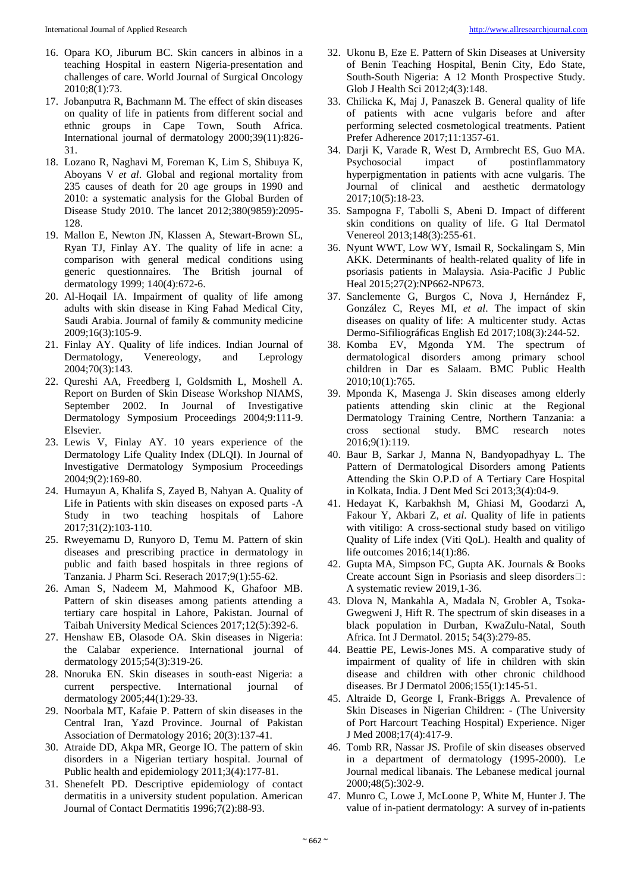- 16. Opara KO, Jiburum BC. Skin cancers in albinos in a teaching Hospital in eastern Nigeria-presentation and challenges of care. World Journal of Surgical Oncology 2010;8(1):73.
- 17. Jobanputra R, Bachmann M. The effect of skin diseases on quality of life in patients from different social and ethnic groups in Cape Town, South Africa. International journal of dermatology 2000;39(11):826- 31.
- 18. Lozano R, Naghavi M, Foreman K, Lim S, Shibuya K, Aboyans V *et al*. Global and regional mortality from 235 causes of death for 20 age groups in 1990 and 2010: a systematic analysis for the Global Burden of Disease Study 2010. The lancet 2012;380(9859):2095- 128.
- 19. Mallon E, Newton JN, Klassen A, Stewart-Brown SL, Ryan TJ, Finlay AY. The quality of life in acne: a comparison with general medical conditions using generic questionnaires. The British journal of dermatology 1999; 140(4):672-6.
- 20. Al-Hoqail IA. Impairment of quality of life among adults with skin disease in King Fahad Medical City, Saudi Arabia. Journal of family & community medicine 2009;16(3):105-9.
- 21. Finlay AY. Quality of life indices. Indian Journal of Dermatology, Venereology, and Leprology 2004;70(3):143.
- 22. Qureshi AA, Freedberg I, Goldsmith L, Moshell A. Report on Burden of Skin Disease Workshop NIAMS, September 2002. In Journal of Investigative Dermatology Symposium Proceedings 2004;9:111-9. Elsevier.
- 23. Lewis V, Finlay AY. 10 years experience of the Dermatology Life Quality Index (DLQI). In Journal of Investigative Dermatology Symposium Proceedings 2004;9(2):169-80.
- 24. Humayun A, Khalifa S, Zayed B, Nahyan A. Quality of Life in Patients with skin diseases on exposed parts -A Study in two teaching hospitals of Lahore 2017;31(2):103-110.
- 25. Rweyemamu D, Runyoro D, Temu M. Pattern of skin diseases and prescribing practice in dermatology in public and faith based hospitals in three regions of Tanzania. J Pharm Sci. Reserach 2017;9(1):55-62.
- 26. Aman S, Nadeem M, Mahmood K, Ghafoor MB. Pattern of skin diseases among patients attending a tertiary care hospital in Lahore, Pakistan. Journal of Taibah University Medical Sciences 2017;12(5):392-6.
- 27. Henshaw EB, Olasode OA. Skin diseases in Nigeria: the Calabar experience. International journal of dermatology 2015;54(3):319-26.
- 28. Nnoruka EN. Skin diseases in south‐east Nigeria: a current perspective. International journal of dermatology 2005;44(1):29-33.
- 29. Noorbala MT, Kafaie P. Pattern of skin diseases in the Central Iran, Yazd Province. Journal of Pakistan Association of Dermatology 2016; 20(3):137-41.
- 30. Atraide DD, Akpa MR, George IO. The pattern of skin disorders in a Nigerian tertiary hospital. Journal of Public health and epidemiology 2011;3(4):177-81.
- 31. Shenefelt PD. Descriptive epidemiology of contact dermatitis in a university student population. American Journal of Contact Dermatitis 1996;7(2):88-93.
- 32. Ukonu B, Eze E. Pattern of Skin Diseases at University of Benin Teaching Hospital, Benin City, Edo State, South-South Nigeria: A 12 Month Prospective Study. Glob J Health Sci 2012;4(3):148.
- 33. Chilicka K, Maj J, Panaszek B. General quality of life of patients with acne vulgaris before and after performing selected cosmetological treatments. Patient Prefer Adherence 2017;11:1357-61.
- 34. Darji K, Varade R, West D, Armbrecht ES, Guo MA. Psychosocial impact of postinflammatory hyperpigmentation in patients with acne vulgaris. The Journal of clinical and aesthetic dermatology 2017;10(5):18-23.
- 35. Sampogna F, Tabolli S, Abeni D. Impact of different skin conditions on quality of life. G Ital Dermatol Venereol 2013;148(3):255-61.
- 36. Nyunt WWT, Low WY, Ismail R, Sockalingam S, Min AKK. Determinants of health-related quality of life in psoriasis patients in Malaysia. Asia-Pacific J Public Heal 2015;27(2):NP662-NP673.
- 37. Sanclemente G, Burgos C, Nova J, Hernández F, González C, Reyes MI, *et al*. The impact of skin diseases on quality of life: A multicenter study. Actas Dermo-Sifiliográficas English Ed 2017;108(3):244-52.
- 38. Komba EV, Mgonda YM. The spectrum of dermatological disorders among primary school children in Dar es Salaam. BMC Public Health 2010;10(1):765.
- 39. Mponda K, Masenga J. Skin diseases among elderly patients attending skin clinic at the Regional Dermatology Training Centre, Northern Tanzania: a cross sectional study. BMC research notes 2016;9(1):119.
- 40. Baur B, Sarkar J, Manna N, Bandyopadhyay L. The Pattern of Dermatological Disorders among Patients Attending the Skin O.P.D of A Tertiary Care Hospital in Kolkata, India. J Dent Med Sci 2013;3(4):04-9.
- 41. Hedayat K, Karbakhsh M, Ghiasi M, Goodarzi A, Fakour Y, Akbari Z, *et al*. Quality of life in patients with vitiligo: A cross-sectional study based on vitiligo Quality of Life index (Viti QoL). Health and quality of life outcomes 2016;14(1):86.
- 42. Gupta MA, Simpson FC, Gupta AK. Journals & Books Create account Sign in Psoriasis and sleep disorders $\square$ : A systematic review 2019,1-36.
- 43. Dlova N, Mankahla A, Madala N, Grobler A, Tsoka-Gwegweni J, Hift R. The spectrum of skin diseases in a black population in Durban, KwaZulu-Natal, South Africa. Int J Dermatol. 2015; 54(3):279-85.
- 44. Beattie PE, Lewis-Jones MS. A comparative study of impairment of quality of life in children with skin disease and children with other chronic childhood diseases. Br J Dermatol 2006;155(1):145-51.
- 45. Altraide D, George I, Frank-Briggs A. Prevalence of Skin Diseases in Nigerian Children: - (The University of Port Harcourt Teaching Hospital) Experience. Niger J Med 2008;17(4):417-9.
- 46. Tomb RR, Nassar JS. Profile of skin diseases observed in a department of dermatology (1995-2000). Le Journal medical libanais. The Lebanese medical journal 2000;48(5):302-9.
- 47. Munro C, Lowe J, McLoone P, White M, Hunter J. The value of in-patient dermatology: A survey of in-patients